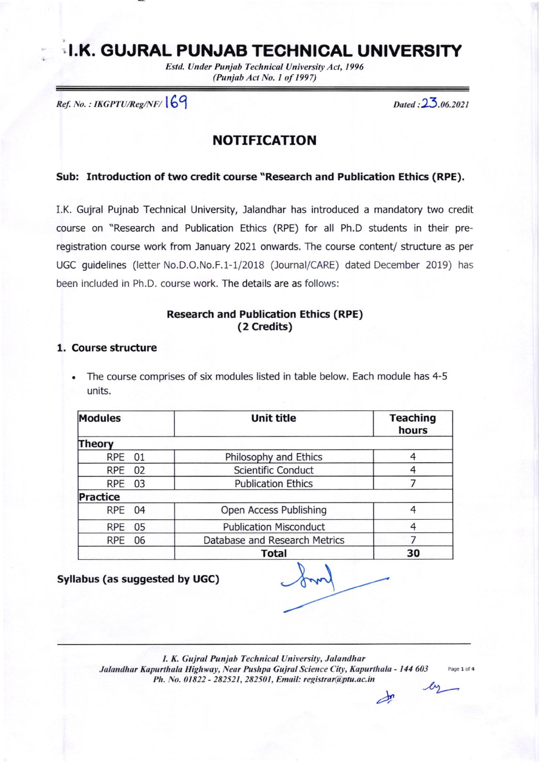# I.K. GUJRAL PUNJAB TECHNICAL UNIVERSITY

Estd. Under Punjab Technical University Act, 1996 (Punjab Act No. 1 of 1997)

 $Ref. No. : IKGPTU/Reg/NF/$   $|69$  Dated :  $23.06.2021$ 

# NOTIFICATION

#### Sub: Introduction of two credit course "Research and Publication Ethics (RPE),

I.K. Gujral Pujnab Technical University, Jalandhar has introduced a mandatory two credit course on "Research and Publication Ethics (RPE) for all Ph.D students in their preregistration course work from January 2021 onwards. The course content/ structure as per UGC guidelines (letter No.D.O.No.F.1-1/2018 (Journal/CARE) dated December 2019) has been included in Ph.D. course work. The details are as follows:

# Research and Publication Ethics (RPE) (2 Credits)

#### 1, Course structure

The course comprises of six modules listed in table below. Each module has 4-5 units.

| <b>Modules</b> | <b>Unit title</b>             | <b>Teaching</b><br>hours |  |
|----------------|-------------------------------|--------------------------|--|
| Theory         |                               |                          |  |
| RPE 01         | Philosophy and Ethics         |                          |  |
| 02<br>RPE      | Scientific Conduct            |                          |  |
| RPE 03         | <b>Publication Ethics</b>     |                          |  |
| Practice       |                               |                          |  |
| RPE 04         | Open Access Publishing        | 4                        |  |
| RPE 05         | <b>Publication Misconduct</b> |                          |  |
| RPE 06         | Database and Research Metrics |                          |  |
|                | <b>Total</b>                  | 30                       |  |

Syllabus (as suggested by UGC)

 $\sqrt{2}$ 

I. K. Gujral Punjab Technical University, Jalandhar Jalandhar Kapurthala Highway, Near Pushpa Gujral Science City, Kapurthala - 144 603 Ph. No. 01822 - 282521, 282501, Email: registrar@ptu.ac.in

Page 1 of 4

 $\Rightarrow$  $\mathcal{L}_2$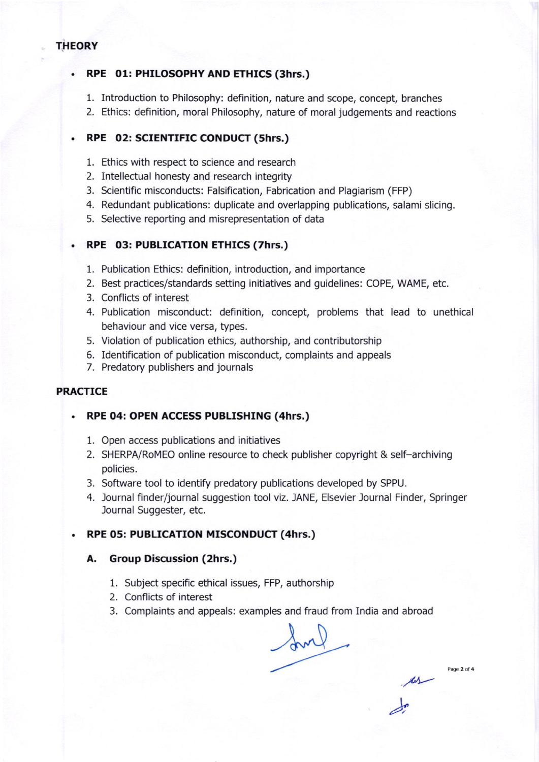#### **THEORY**

# RPE 01: PHILOSOPHY AND ETHICS (3hrs.)

- 1. Introduction to Philosophy: deflnition, nature and scope, concept, branches
- 2. Ethics: definition, moral Philosophy, nature of moral judgements and reactions

# RPE 02: SCIENTIFIC CONDUCT (shrs.)

- 1. Ethics with respect to science and research
- 2. Intellectual honesty and research integrity
- 3. Scientific misconducts: Falsification, Fabrication and Plagiarism (FFP)
- 4. Redundant publications: duplicate and overlapping publications, salami slicing.
- 5. Selective reporting and misrepresentation of data

#### RPE 03: PUBLICATION ETHICS (7hrs.)

- 1. Publication Ethics: definition, introduction, and importance
- 2. Best practices/standards setting initiatives and guidelines: COPE, WAME, etc.
- 3. Conflicts of interest
- 4. Publication misconduct: definition, concept, problems that lead to unethical behaviour and vice versa, types.
- 5. Violation of publication ethics, authorship, and contributorship
- 6. Identification of publication misconduct, complaints and appeals
- 7. Predatory publishers and journals

#### PRACTICE

#### RPE 04: OPEN ACCESS PUBLISHING (4hrs.)

- 1. Open access publications and initiatives
- 2. SHERPA/RoMEO online resource to check publisher copyright & self-archiving policies.
- 3. Software tool to identify predatory publications developed by SPPU.
- 4. Journal finder/journal suggestion tool viz. IANE, Elsevier Journal Finder, Springer Journal Suggester, etc.

#### RPE 05: PUBLICATION MISCONDUCT (4hrs.)

#### A. Group Discussion (2hrs,)

- 1. Subject specific ethical issues, FFP, authorship
- 2. Conflicts of interest
- 3. Complaints and appeals: examples and fraud from India and abroad

June

Page 2 of 4

 $\mu$ 

)